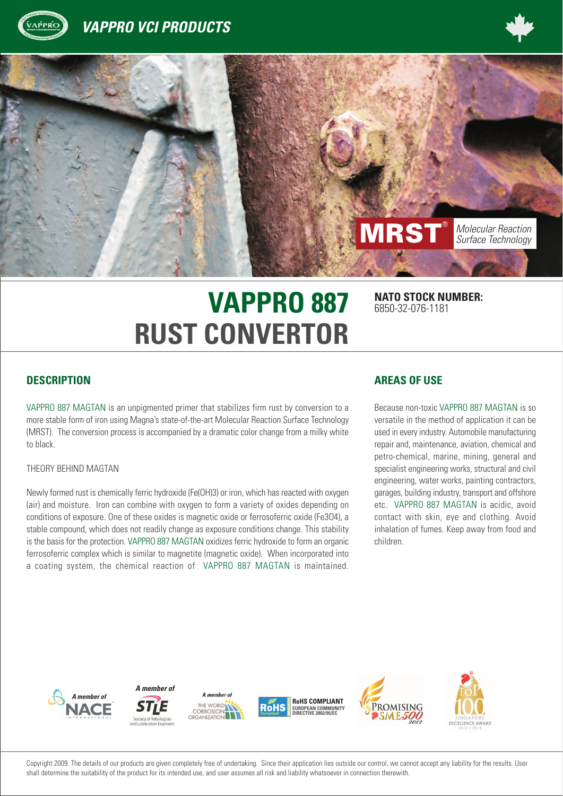





# **VAPPRO 887 RUST CONVERTOR**

**NATO STOCK NUMBER:** 6850-32-076-1181

#### **DESCRIPTION**

VAPPRO 887 MAGTAN is an unpigmented primer that stabilizes firm rust by conversion to a more stable form of iron using Magna's state-of-the-art Molecular Reaction Surface Technology (MRST). The conversion process is accompanied by a dramatic color change from a milky white to black.

#### THEORY BEHIND MAGTAN

Newly formed rust is chemically ferric hydroxide (Fe(OH)3) or iron, which has reacted with oxygen (air) and moisture. Iron can combine with oxygen to form a variety of oxides depending on conditions of exposure. One of these oxides is magnetic oxide or ferrosoferric oxide (Fe3O4), a stable compound, which does not readily change as exposure conditions change. This stability is the basis for the protection. VAPPRO 887 MAGTAN oxidizes ferric hydroxide to form an organic ferrosoferric complex which is similar to magnetite (magnetic oxide). When incorporated into a coating system, the chemical reaction of VAPPRO 887 MAGTAN is maintained.

#### **AREAS OF USE**

Because non-toxic VAPPRO 887 MAGTAN is so versatile in the method of application it can be used in every industry. Automobile manufacturing repair and, maintenance, aviation, chemical and petro-chemical, marine, mining, general and specialist engineering works, structural and civil engineering, water works, painting contractors, garages, building industry, transport and offshore etc. VAPPRO 887 MAGTAN is acidic, avoid contact with skin, eye and clothing. Avoid inhalation of fumes. Keep away from food and children.



Copyright 2009. The details of our products are given completely free of undertaking. Since their application lies outside our control, we cannot accept any liability for the results. User shall determine the suitability of the product for its intended use, and user assumes all risk and liability whatsoever in connection therewith.